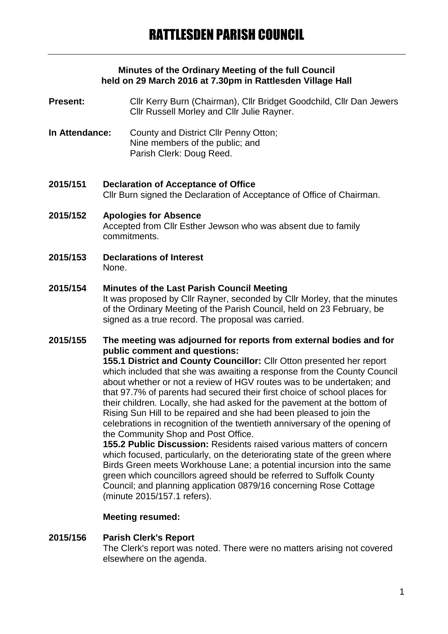#### **Minutes of the Ordinary Meeting of the full Council held on 29 March 2016 at 7.30pm in Rattlesden Village Hall**

- **Present:** Cllr Kerry Burn (Chairman), Cllr Bridget Goodchild, Cllr Dan Jewers Cllr Russell Morley and Cllr Julie Rayner.
- **In Attendance:** County and District Cllr Penny Otton; Nine members of the public; and Parish Clerk: Doug Reed.
- **2015/151 Declaration of Acceptance of Office** Cllr Burn signed the Declaration of Acceptance of Office of Chairman.
- **2015/152 Apologies for Absence** Accepted from Cllr Esther Jewson who was absent due to family commitments.
- **2015/153 Declarations of Interest** None.

## **2015/154 Minutes of the Last Parish Council Meeting**

It was proposed by Cllr Rayner, seconded by Cllr Morley, that the minutes of the Ordinary Meeting of the Parish Council, held on 23 February, be signed as a true record. The proposal was carried.

## **2015/155 The meeting was adjourned for reports from external bodies and for public comment and questions:**

**155.1 District and County Councillor:** Cllr Otton presented her report which included that she was awaiting a response from the County Council about whether or not a review of HGV routes was to be undertaken; and that 97.7% of parents had secured their first choice of school places for their children. Locally, she had asked for the pavement at the bottom of Rising Sun Hill to be repaired and she had been pleased to join the celebrations in recognition of the twentieth anniversary of the opening of the Community Shop and Post Office.

**155.2 Public Discussion:** Residents raised various matters of concern which focused, particularly, on the deteriorating state of the green where Birds Green meets Workhouse Lane; a potential incursion into the same green which councillors agreed should be referred to Suffolk County Council; and planning application 0879/16 concerning Rose Cottage (minute 2015/157.1 refers).

#### **Meeting resumed:**

#### **2015/156 Parish Clerk's Report** The Clerk's report was noted. There were no matters arising not covered elsewhere on the agenda.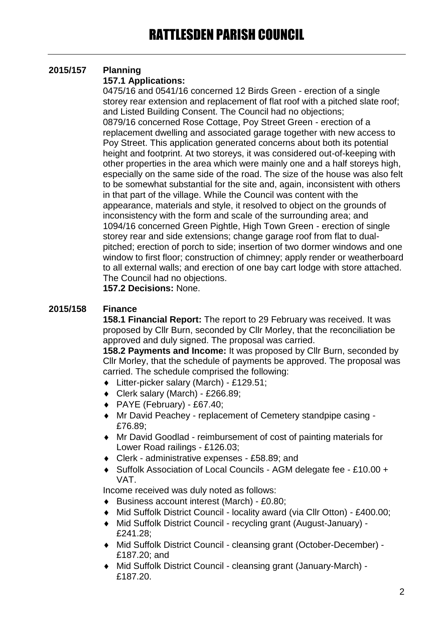# **2015/157 Planning**

## **157.1 Applications:**

0475/16 and 0541/16 concerned 12 Birds Green - erection of a single storey rear extension and replacement of flat roof with a pitched slate roof; and Listed Building Consent. The Council had no objections; 0879/16 concerned Rose Cottage, Poy Street Green - erection of a replacement dwelling and associated garage together with new access to Poy Street. This application generated concerns about both its potential height and footprint. At two storeys, it was considered out-of-keeping with other properties in the area which were mainly one and a half storeys high, especially on the same side of the road. The size of the house was also felt to be somewhat substantial for the site and, again, inconsistent with others in that part of the village. While the Council was content with the appearance, materials and style, it resolved to object on the grounds of inconsistency with the form and scale of the surrounding area; and 1094/16 concerned Green Pightle, High Town Green - erection of single storey rear and side extensions; change garage roof from flat to dualpitched; erection of porch to side; insertion of two dormer windows and one window to first floor; construction of chimney; apply render or weatherboard to all external walls; and erection of one bay cart lodge with store attached. The Council had no objections.

**157.2 Decisions:** None.

## **2015/158 Finance**

**158.1 Financial Report:** The report to 29 February was received. It was proposed by Cllr Burn, seconded by Cllr Morley, that the reconciliation be approved and duly signed. The proposal was carried.

**158.2 Payments and Income:** It was proposed by Cllr Burn, seconded by Cllr Morley, that the schedule of payments be approved. The proposal was carried. The schedule comprised the following:

- Litter-picker salary (March) £129.51;
- Clerk salary (March) £266.89;
- $\leftrightarrow$  PAYE (February) £67.40;
- Mr David Peachey replacement of Cemetery standpipe casing £76.89;
- Mr David Goodlad reimbursement of cost of painting materials for Lower Road railings - £126.03;
- Clerk administrative expenses £58.89; and
- Suffolk Association of Local Councils AGM delegate fee £10.00 + VAT.

Income received was duly noted as follows:

- ◆ Business account interest (March) £0.80;
- Mid Suffolk District Council locality award (via Cllr Otton) £400.00;
- Mid Suffolk District Council recycling grant (August-January) £241.28;
- Mid Suffolk District Council cleansing grant (October-December) £187.20; and
- Mid Suffolk District Council cleansing grant (January-March) £187.20.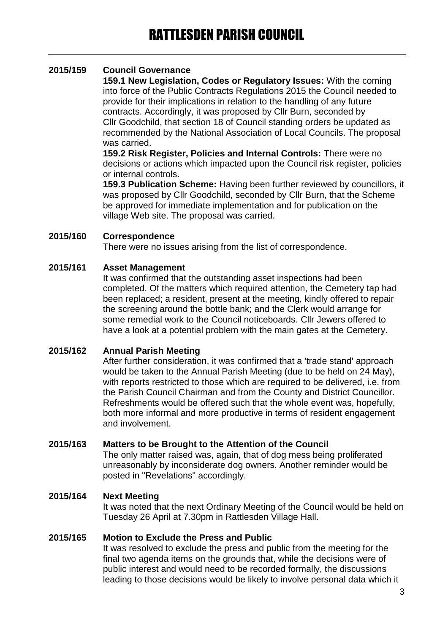## **2015/159 Council Governance**

**159.1 New Legislation, Codes or Regulatory Issues:** With the coming into force of the Public Contracts Regulations 2015 the Council needed to provide for their implications in relation to the handling of any future contracts. Accordingly, it was proposed by Cllr Burn, seconded by Cllr Goodchild, that section 18 of Council standing orders be updated as recommended by the National Association of Local Councils. The proposal was carried.

**159.2 Risk Register, Policies and Internal Controls:** There were no decisions or actions which impacted upon the Council risk register, policies or internal controls.

**159.3 Publication Scheme:** Having been further reviewed by councillors, it was proposed by Cllr Goodchild, seconded by Cllr Burn, that the Scheme be approved for immediate implementation and for publication on the village Web site. The proposal was carried.

#### **2015/160 Correspondence**

There were no issues arising from the list of correspondence.

#### **2015/161 Asset Management**

It was confirmed that the outstanding asset inspections had been completed. Of the matters which required attention, the Cemetery tap had been replaced; a resident, present at the meeting, kindly offered to repair the screening around the bottle bank; and the Clerk would arrange for some remedial work to the Council noticeboards. Cllr Jewers offered to have a look at a potential problem with the main gates at the Cemetery.

#### **2015/162 Annual Parish Meeting**

After further consideration, it was confirmed that a 'trade stand' approach would be taken to the Annual Parish Meeting (due to be held on 24 May), with reports restricted to those which are required to be delivered, i.e. from the Parish Council Chairman and from the County and District Councillor. Refreshments would be offered such that the whole event was, hopefully, both more informal and more productive in terms of resident engagement and involvement.

#### **2015/163 Matters to be Brought to the Attention of the Council**

The only matter raised was, again, that of dog mess being proliferated unreasonably by inconsiderate dog owners. Another reminder would be posted in "Revelations" accordingly.

#### **2015/164 Next Meeting**

It was noted that the next Ordinary Meeting of the Council would be held on Tuesday 26 April at 7.30pm in Rattlesden Village Hall.

#### **2015/165 Motion to Exclude the Press and Public**

It was resolved to exclude the press and public from the meeting for the final two agenda items on the grounds that, while the decisions were of public interest and would need to be recorded formally, the discussions leading to those decisions would be likely to involve personal data which it